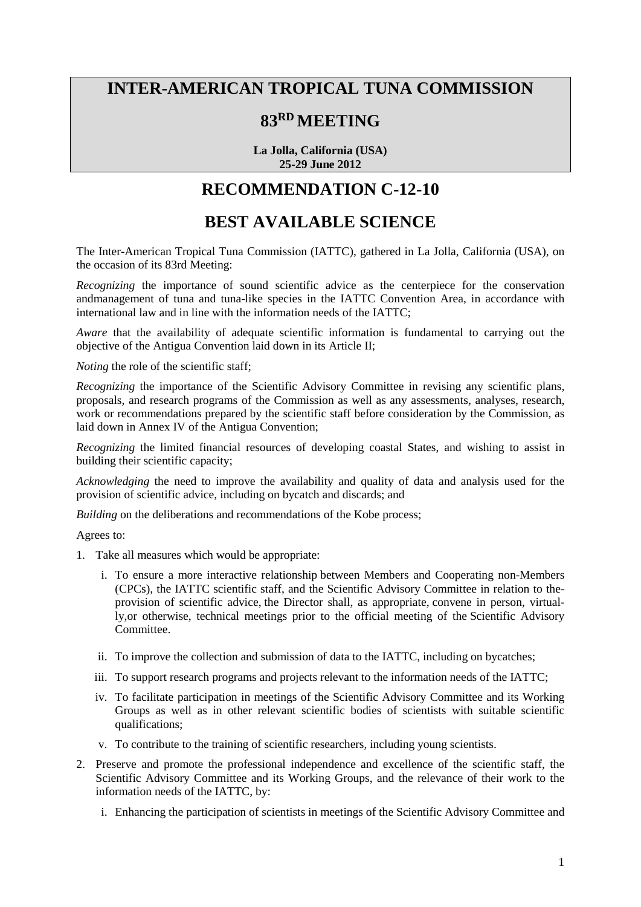## **INTER-AMERICAN TROPICAL TUNA COMMISSION**

## **83RD MEETING**

**La Jolla, California (USA) 25-29 June 2012**

## **RECOMMENDATION C-12-10**

## **BEST AVAILABLE SCIENCE**

The Inter-American Tropical Tuna Commission (IATTC), gathered in La Jolla, California (USA), on the occasion of its 83rd Meeting:

*Recognizing* the importance of sound scientific advice as the centerpiece for the conservation andmanagement of tuna and tuna-like species in the IATTC Convention Area, in accordance with international law and in line with the information needs of the IATTC;

*Aware* that the availability of adequate scientific information is fundamental to carrying out the objective of the Antigua Convention laid down in its Article II;

*Noting* the role of the scientific staff:

*Recognizing* the importance of the Scientific Advisory Committee in revising any scientific plans, proposals, and research programs of the Commission as well as any assessments, analyses, research, work or recommendations prepared by the scientific staff before consideration by the Commission, as laid down in Annex IV of the Antigua Convention;

*Recognizing* the limited financial resources of developing coastal States, and wishing to assist in building their scientific capacity;

*Acknowledging* the need to improve the availability and quality of data and analysis used for the provision of scientific advice, including on bycatch and discards; and

*Building* on the deliberations and recommendations of the Kobe process;

Agrees to:

- 1. Take all measures which would be appropriate:
	- i. To ensure a more interactive relationship between Members and Cooperating non-Members (CPCs), the IATTC scientific staff, and the Scientific Advisory Committee in relation to theprovision of scientific advice, the Director shall, as appropriate, convene in person, virtually,or otherwise, technical meetings prior to the official meeting of the Scientific Advisory Committee.
	- ii. To improve the collection and submission of data to the IATTC, including on bycatches;
	- iii. To support research programs and projects relevant to the information needs of the IATTC;
	- iv. To facilitate participation in meetings of the Scientific Advisory Committee and its Working Groups as well as in other relevant scientific bodies of scientists with suitable scientific qualifications;
	- v. To contribute to the training of scientific researchers, including young scientists.
- 2. Preserve and promote the professional independence and excellence of the scientific staff, the Scientific Advisory Committee and its Working Groups, and the relevance of their work to the information needs of the IATTC, by:
	- i. Enhancing the participation of scientists in meetings of the Scientific Advisory Committee and